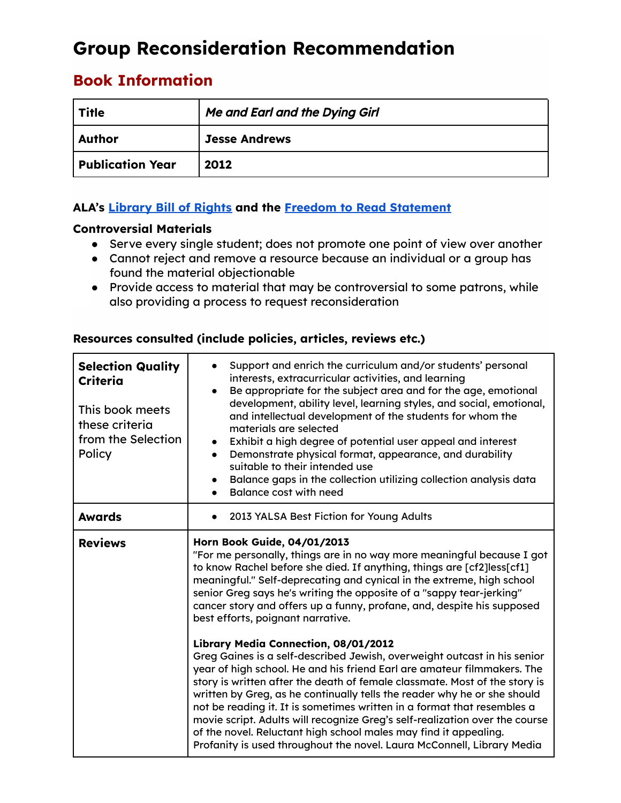# **Group Reconsideration Recommendation**

# **Book Information**

| Title            | <b>Me and Earl and the Dying Girl</b> |
|------------------|---------------------------------------|
| <b>Author</b>    | <b>Jesse Andrews</b>                  |
| Publication Year | 2012                                  |

# **ALA's [Library](https://www.ala.org/advocacy/intfreedom/librarybill) Bill of Rights and the Freedom to Read [Statement](https://www.ala.org/advocacy/intfreedom/freedomreadstatement)**

## **Controversial Materials**

- Serve every single student; does not promote one point of view over another
- Cannot reject and remove a resource because an individual or a group has found the material objectionable
- Provide access to material that may be controversial to some patrons, while also providing a process to request reconsideration

| <b>Selection Quality</b><br>Criteria<br>This book meets<br>these criteria<br>from the Selection<br>Policy | Support and enrich the curriculum and/or students' personal<br>interests, extracurricular activities, and learning<br>Be appropriate for the subject area and for the age, emotional<br>$\bullet$<br>development, ability level, learning styles, and social, emotional,<br>and intellectual development of the students for whom the<br>materials are selected<br>Exhibit a high degree of potential user appeal and interest<br>Demonstrate physical format, appearance, and durability<br>suitable to their intended use<br>Balance gaps in the collection utilizing collection analysis data<br><b>Balance cost with need</b>                                                                                                                                                                                                                                                   |  |  |
|-----------------------------------------------------------------------------------------------------------|-------------------------------------------------------------------------------------------------------------------------------------------------------------------------------------------------------------------------------------------------------------------------------------------------------------------------------------------------------------------------------------------------------------------------------------------------------------------------------------------------------------------------------------------------------------------------------------------------------------------------------------------------------------------------------------------------------------------------------------------------------------------------------------------------------------------------------------------------------------------------------------|--|--|
| <b>Awards</b>                                                                                             | 2013 YALSA Best Fiction for Young Adults                                                                                                                                                                                                                                                                                                                                                                                                                                                                                                                                                                                                                                                                                                                                                                                                                                            |  |  |
| <b>Reviews</b>                                                                                            | Horn Book Guide, 04/01/2013<br>"For me personally, things are in no way more meaningful because I got<br>to know Rachel before she died. If anything, things are [cf2]less[cf1]<br>meaningful." Self-deprecating and cynical in the extreme, high school<br>senior Greg says he's writing the opposite of a "sappy tear-jerking"<br>cancer story and offers up a funny, profane, and, despite his supposed<br>best efforts, poignant narrative.<br>Library Media Connection, 08/01/2012<br>Greg Gaines is a self-described Jewish, overweight outcast in his senior<br>year of high school. He and his friend Earl are amateur filmmakers. The<br>story is written after the death of female classmate. Most of the story is<br>written by Greg, as he continually tells the reader why he or she should<br>not be reading it. It is sometimes written in a format that resembles a |  |  |
|                                                                                                           | movie script. Adults will recognize Greg's self-realization over the course<br>of the novel. Reluctant high school males may find it appealing.<br>Profanity is used throughout the novel. Laura McConnell, Library Media                                                                                                                                                                                                                                                                                                                                                                                                                                                                                                                                                                                                                                                           |  |  |

## **Resources consulted (include policies, articles, reviews etc.)**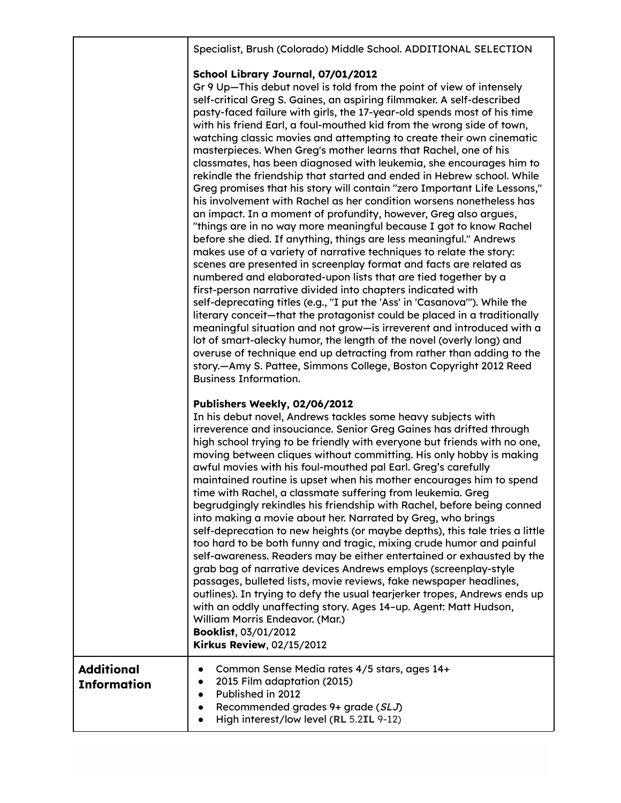|                                         | Specialist, Brush (Colorado) Middle School. ADDITIONAL SELECTION                                                                                                                                                                                                                                                                                                                                                                                                                                                                                                                                                                                                                                                                                                                                                                                                                                                                                                                                                                                                                                                                                                                                                                                                                                                                                                                                                                                                                                                                                                                                                                                                                                                                                                               |
|-----------------------------------------|--------------------------------------------------------------------------------------------------------------------------------------------------------------------------------------------------------------------------------------------------------------------------------------------------------------------------------------------------------------------------------------------------------------------------------------------------------------------------------------------------------------------------------------------------------------------------------------------------------------------------------------------------------------------------------------------------------------------------------------------------------------------------------------------------------------------------------------------------------------------------------------------------------------------------------------------------------------------------------------------------------------------------------------------------------------------------------------------------------------------------------------------------------------------------------------------------------------------------------------------------------------------------------------------------------------------------------------------------------------------------------------------------------------------------------------------------------------------------------------------------------------------------------------------------------------------------------------------------------------------------------------------------------------------------------------------------------------------------------------------------------------------------------|
|                                         | School Library Journal, 07/01/2012<br>Gr 9 Up-This debut novel is told from the point of view of intensely<br>self-critical Greg S. Gaines, an aspiring filmmaker. A self-described<br>pasty-faced failure with girls, the 17-year-old spends most of his time<br>with his friend Earl, a foul-mouthed kid from the wrong side of town,<br>watching classic movies and attempting to create their own cinematic<br>masterpieces. When Greg's mother learns that Rachel, one of his<br>classmates, has been diagnosed with leukemia, she encourages him to<br>rekindle the friendship that started and ended in Hebrew school. While<br>Greg promises that his story will contain "zero Important Life Lessons,"<br>his involvement with Rachel as her condition worsens nonetheless has<br>an impact. In a moment of profundity, however, Greg also argues,<br>"things are in no way more meaningful because I got to know Rachel<br>before she died. If anything, things are less meaningful." Andrews<br>makes use of a variety of narrative techniques to relate the story:<br>scenes are presented in screenplay format and facts are related as<br>numbered and elaborated-upon lists that are tied together by a<br>first-person narrative divided into chapters indicated with<br>self-deprecating titles (e.g., "I put the 'Ass' in 'Casanova'"). While the<br>literary conceit—that the protagonist could be placed in a traditionally<br>meaningful situation and not grow-is irreverent and introduced with a<br>lot of smart-alecky humor, the length of the novel (overly long) and<br>overuse of technique end up detracting from rather than adding to the<br>story.-Amy S. Pattee, Simmons College, Boston Copyright 2012 Reed<br><b>Business Information.</b> |
|                                         | Publishers Weekly, 02/06/2012<br>In his debut novel, Andrews tackles some heavy subjects with<br>irreverence and insouciance. Senior Greg Gaines has drifted through<br>high school trying to be friendly with everyone but friends with no one,<br>moving between cliques without committing. His only hobby is making<br>awful movies with his foul-mouthed pal Earl. Greg's carefully<br>maintained routine is upset when his mother encourages him to spend<br>time with Rachel, a classmate suffering from leukemia. Greg<br>begrudgingly rekindles his friendship with Rachel, before being conned<br>into making a movie about her. Narrated by Greg, who brings<br>self-deprecation to new heights (or maybe depths), this tale tries a little<br>too hard to be both funny and tragic, mixing crude humor and painful<br>self-awareness. Readers may be either entertained or exhausted by the<br>grab bag of narrative devices Andrews employs (screenplay-style<br>passages, bulleted lists, movie reviews, fake newspaper headlines,<br>outlines). In trying to defy the usual tearjerker tropes, Andrews ends up<br>with an oddly unaffecting story. Ages 14-up. Agent: Matt Hudson,<br>William Morris Endeavor. (Mar.)<br>Booklist, 03/01/2012<br>Kirkus Review, 02/15/2012                                                                                                                                                                                                                                                                                                                                                                                                                                                                                      |
| <b>Additional</b><br><b>Information</b> | Common Sense Media rates 4/5 stars, ages 14+<br>2015 Film adaptation (2015)<br>Published in 2012<br>Recommended grades 9+ grade (SLJ)<br>High interest/low level (RL 5.2IL 9-12)                                                                                                                                                                                                                                                                                                                                                                                                                                                                                                                                                                                                                                                                                                                                                                                                                                                                                                                                                                                                                                                                                                                                                                                                                                                                                                                                                                                                                                                                                                                                                                                               |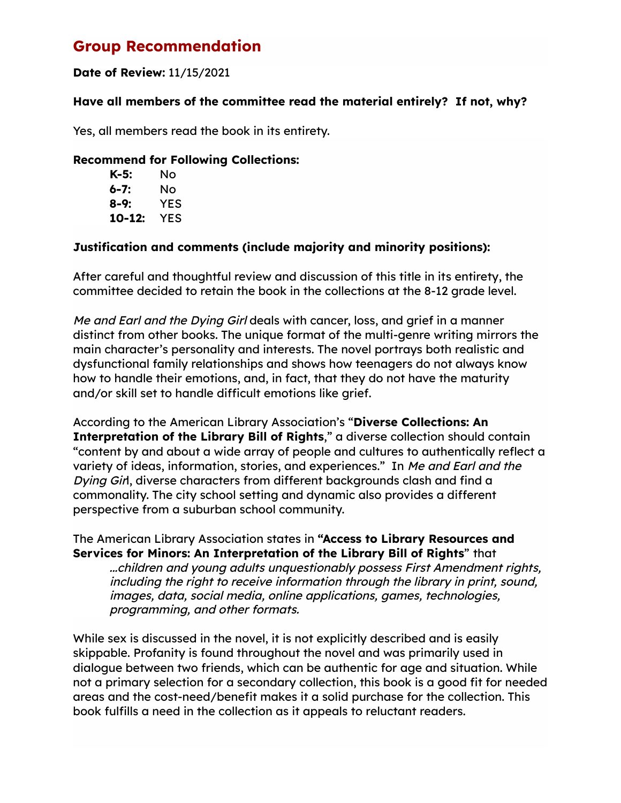# **Group Recommendation**

# **Date of Review:** 11/15/2021

#### **Have all members of the committee read the material entirely? If not, why?**

Yes, all members read the book in its entirety.

#### **Recommend for Following Collections:**

| K-5:   | Nο  |
|--------|-----|
| 6-7:   | Nο  |
| 8-9:   | YES |
| 10-12: | YES |

## **Justification and comments (include majority and minority positions):**

After careful and thoughtful review and discussion of this title in its entirety, the committee decided to retain the book in the collections at the 8-12 grade level.

Me and Earl and the Dying Girl deals with cancer, loss, and grief in a manner distinct from other books. The unique format of the multi-genre writing mirrors the main character's personality and interests. The novel portrays both realistic and dysfunctional family relationships and shows how teenagers do not always know how to handle their emotions, and, in fact, that they do not have the maturity and/or skill set to handle difficult emotions like grief.

According to the American Library Association's "**Diverse Collections: An Interpretation of the Library Bill of Rights**," a diverse collection should contain "content by and about a wide array of people and cultures to authentically reflect a variety of ideas, information, stories, and experiences." In Me and Earl and the Dying Girl, diverse characters from different backgrounds clash and find a commonality. The city school setting and dynamic also provides a different perspective from a suburban school community.

The American Library Association states in **"Access to Library Resources and Services for Minors: An Interpretation of the Library Bill of Rights**" that

...children and young adults unquestionably possess First Amendment rights, including the right to receive information through the library in print, sound, images, data, social media, online applications, games, technologies, programming, and other formats.

While sex is discussed in the novel, it is not explicitly described and is easily skippable. Profanity is found throughout the novel and was primarily used in dialogue between two friends, which can be authentic for age and situation. While not a primary selection for a secondary collection, this book is a good fit for needed areas and the cost-need/benefit makes it a solid purchase for the collection. This book fulfills a need in the collection as it appeals to reluctant readers.